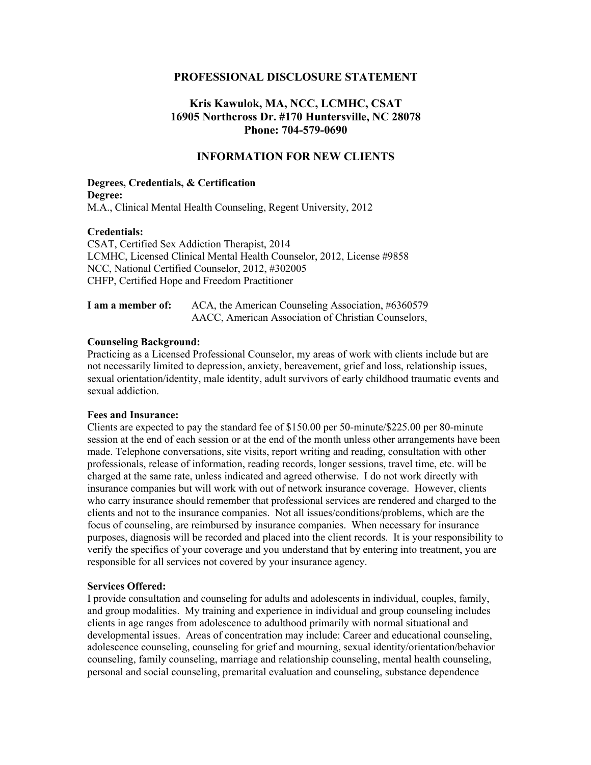## **PROFESSIONAL DISCLOSURE STATEMENT**

# **Kris Kawulok, MA, NCC, LCMHC, CSAT 16905 Northcross Dr. #170 Huntersville, NC 28078 Phone: 704-579-0690**

## **INFORMATION FOR NEW CLIENTS**

## **Degrees, Credentials, & Certification Degree:** M.A., Clinical Mental Health Counseling, Regent University, 2012

#### **Credentials:**

CSAT, Certified Sex Addiction Therapist, 2014 LCMHC, Licensed Clinical Mental Health Counselor, 2012, License #9858 NCC, National Certified Counselor, 2012, #302005 CHFP, Certified Hope and Freedom Practitioner

| I am a member of: | ACA, the American Counseling Association, #6360579  |
|-------------------|-----------------------------------------------------|
|                   | AACC, American Association of Christian Counselors, |

#### **Counseling Background:**

Practicing as a Licensed Professional Counselor, my areas of work with clients include but are not necessarily limited to depression, anxiety, bereavement, grief and loss, relationship issues, sexual orientation/identity, male identity, adult survivors of early childhood traumatic events and sexual addiction.

#### **Fees and Insurance:**

Clients are expected to pay the standard fee of \$150.00 per 50-minute/\$225.00 per 80-minute session at the end of each session or at the end of the month unless other arrangements have been made. Telephone conversations, site visits, report writing and reading, consultation with other professionals, release of information, reading records, longer sessions, travel time, etc. will be charged at the same rate, unless indicated and agreed otherwise. I do not work directly with insurance companies but will work with out of network insurance coverage. However, clients who carry insurance should remember that professional services are rendered and charged to the clients and not to the insurance companies. Not all issues/conditions/problems, which are the focus of counseling, are reimbursed by insurance companies. When necessary for insurance purposes, diagnosis will be recorded and placed into the client records. It is your responsibility to verify the specifics of your coverage and you understand that by entering into treatment, you are responsible for all services not covered by your insurance agency.

#### **Services Offered:**

I provide consultation and counseling for adults and adolescents in individual, couples, family, and group modalities. My training and experience in individual and group counseling includes clients in age ranges from adolescence to adulthood primarily with normal situational and developmental issues. Areas of concentration may include: Career and educational counseling, adolescence counseling, counseling for grief and mourning, sexual identity/orientation/behavior counseling, family counseling, marriage and relationship counseling, mental health counseling, personal and social counseling, premarital evaluation and counseling, substance dependence